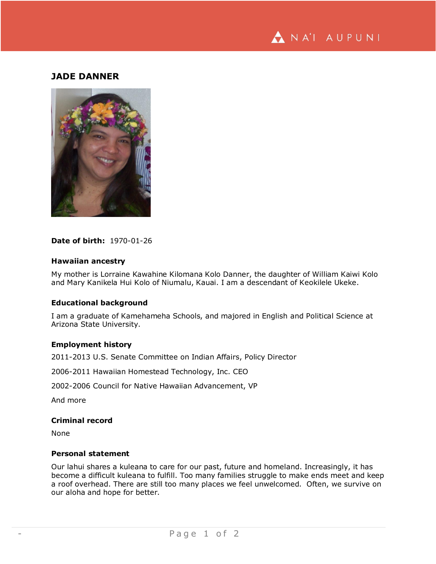

# **JADE DANNER**



## **Date of birth:** 1970-01-26

## **Hawaiian ancestry**

My mother is Lorraine Kawahine Kilomana Kolo Danner, the daughter of William Kaiwi Kolo and Mary Kanikela Hui Kolo of Niumalu, Kauai. I am a descendant of Keokilele Ukeke.

## **Educational background**

I am a graduate of Kamehameha Schools, and majored in English and Political Science at Arizona State University.

## **Employment history**

2011-2013 U.S. Senate Committee on Indian Affairs, Policy Director

2006-2011 Hawaiian Homestead Technology, Inc. CEO

2002-2006 Council for Native Hawaiian Advancement, VP

And more

## **Criminal record**

None

#### **Personal statement**

Our lahui shares a kuleana to care for our past, future and homeland. Increasingly, it has become a difficult kuleana to fulfill. Too many families struggle to make ends meet and keep a roof overhead. There are still too many places we feel unwelcomed. Often, we survive on our aloha and hope for better.